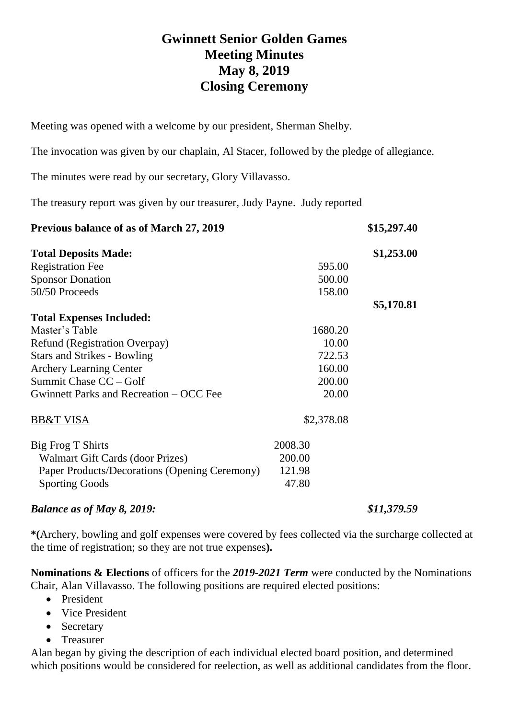## **Gwinnett Senior Golden Games Meeting Minutes May 8, 2019 Closing Ceremony**

Meeting was opened with a welcome by our president, Sherman Shelby.

The invocation was given by our chaplain, Al Stacer, followed by the pledge of allegiance.

The minutes were read by our secretary, Glory Villavasso.

The treasury report was given by our treasurer, Judy Payne. Judy reported

| Previous balance of as of March 27, 2019      |            | \$15,297.40 |
|-----------------------------------------------|------------|-------------|
| <b>Total Deposits Made:</b>                   |            | \$1,253.00  |
| <b>Registration Fee</b>                       | 595.00     |             |
| <b>Sponsor Donation</b>                       | 500.00     |             |
| 50/50 Proceeds                                | 158.00     |             |
|                                               |            | \$5,170.81  |
| <b>Total Expenses Included:</b>               |            |             |
| Master's Table                                | 1680.20    |             |
| Refund (Registration Overpay)                 | 10.00      |             |
| <b>Stars and Strikes - Bowling</b>            | 722.53     |             |
| <b>Archery Learning Center</b>                | 160.00     |             |
| Summit Chase CC - Golf                        | 200.00     |             |
| Gwinnett Parks and Recreation – OCC Fee       | 20.00      |             |
| <b>BB&amp;T VISA</b>                          | \$2,378.08 |             |
| Big Frog T Shirts                             | 2008.30    |             |
| Walmart Gift Cards (door Prizes)              | 200.00     |             |
| Paper Products/Decorations (Opening Ceremony) | 121.98     |             |
| <b>Sporting Goods</b>                         | 47.80      |             |

## *Balance as of May 8, 2019: \$11,379.59*

**\*(**Archery, bowling and golf expenses were covered by fees collected via the surcharge collected at the time of registration; so they are not true expenses**).**

**Nominations & Elections** of officers for the *2019-2021 Term* were conducted by the Nominations Chair, Alan Villavasso. The following positions are required elected positions:

- President
- Vice President
- Secretary
- Treasurer

Alan began by giving the description of each individual elected board position, and determined which positions would be considered for reelection, as well as additional candidates from the floor.